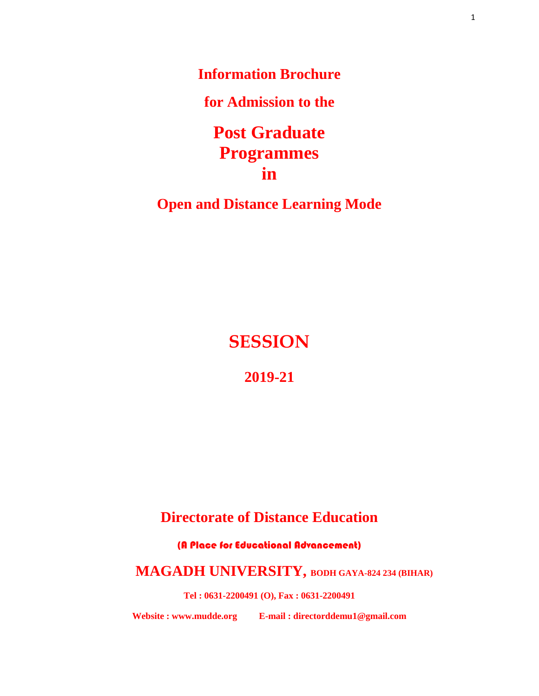**Information Brochure**

**for Admission to the**

**Post Graduate Programmes in**

**Open and Distance Learning Mode**

**SESSION**

**2019-21**

# **Directorate of Distance Education**

(A Place for Educational Advancement)

# **MAGADH UNIVERSITY, BODH GAYA-824 234 (BIHAR)**

**Tel : 0631-2200491 (O), Fax : 0631-2200491**

**Website : www.mudde.org E-mail : directorddemu1@gmail.com**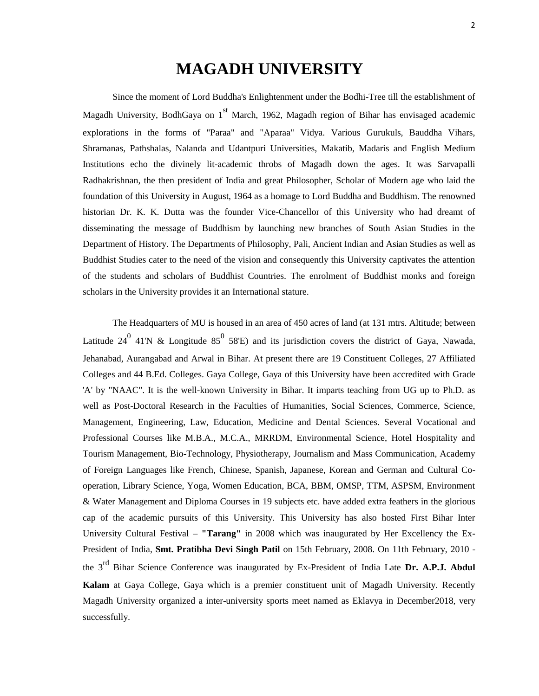# **MAGADH UNIVERSITY**

Since the moment of Lord Buddha's Enlightenment under the Bodhi-Tree till the establishment of Magadh University, BodhGaya on  $1<sup>st</sup>$  March, 1962, Magadh region of Bihar has envisaged academic explorations in the forms of "Paraa" and "Aparaa" Vidya. Various Gurukuls, Bauddha Vihars, Shramanas, Pathshalas, Nalanda and Udantpuri Universities, Makatib, Madaris and English Medium Institutions echo the divinely lit-academic throbs of Magadh down the ages. It was Sarvapalli Radhakrishnan, the then president of India and great Philosopher, Scholar of Modern age who laid the foundation of this University in August, 1964 as a homage to Lord Buddha and Buddhism. The renowned historian Dr. K. K. Dutta was the founder Vice-Chancellor of this University who had dreamt of disseminating the message of Buddhism by launching new branches of South Asian Studies in the Department of History. The Departments of Philosophy, Pali, Ancient Indian and Asian Studies as well as Buddhist Studies cater to the need of the vision and consequently this University captivates the attention of the students and scholars of Buddhist Countries. The enrolment of Buddhist monks and foreign scholars in the University provides it an International stature.

The Headquarters of MU is housed in an area of 450 acres of land (at 131 mtrs. Altitude; between Latitude 24<sup>0</sup> 41N & Longitude 85<sup>0</sup> 58°E) and its jurisdiction covers the district of Gaya, Nawada, Jehanabad, Aurangabad and Arwal in Bihar. At present there are 19 Constituent Colleges, 27 Affiliated Colleges and 44 B.Ed. Colleges. Gaya College, Gaya of this University have been accredited with Grade 'A' by "NAAC". It is the well-known University in Bihar. It imparts teaching from UG up to Ph.D. as well as Post-Doctoral Research in the Faculties of Humanities, Social Sciences, Commerce, Science, Management, Engineering, Law, Education, Medicine and Dental Sciences. Several Vocational and Professional Courses like M.B.A., M.C.A., MRRDM, Environmental Science, Hotel Hospitality and Tourism Management, Bio-Technology, Physiotherapy, Journalism and Mass Communication, Academy of Foreign Languages like French, Chinese, Spanish, Japanese, Korean and German and Cultural Cooperation, Library Science, Yoga, Women Education, BCA, BBM, OMSP, TTM, ASPSM, Environment & Water Management and Diploma Courses in 19 subjects etc. have added extra feathers in the glorious cap of the academic pursuits of this University. This University has also hosted First Bihar Inter University Cultural Festival – **"Tarang"** in 2008 which was inaugurated by Her Excellency the Ex-President of India, **Smt. Pratibha Devi Singh Patil** on 15th February, 2008. On 11th February, 2010 the 3rd Bihar Science Conference was inaugurated by Ex-President of India Late **Dr. A.P.J. Abdul Kalam** at Gaya College, Gaya which is a premier constituent unit of Magadh University. Recently Magadh University organized a inter-university sports meet named as Eklavya in December2018, very successfully.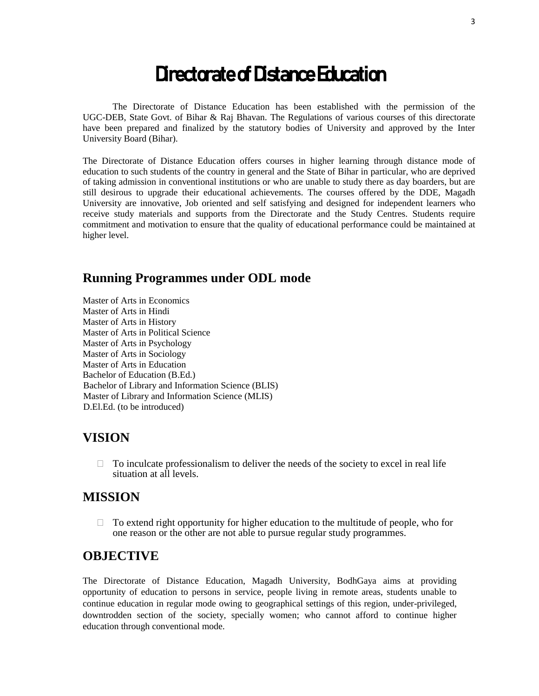# Directorate of Distance Education

The Directorate of Distance Education has been established with the permission of the UGC-DEB, State Govt. of Bihar & Raj Bhavan. The Regulations of various courses of this directorate have been prepared and finalized by the statutory bodies of University and approved by the Inter University Board (Bihar).

The Directorate of Distance Education offers courses in higher learning through distance mode of education to such students of the country in general and the State of Bihar in particular, who are deprived of taking admission in conventional institutions or who are unable to study there as day boarders, but are still desirous to upgrade their educational achievements. The courses offered by the DDE, Magadh University are innovative, Job oriented and self satisfying and designed for independent learners who receive study materials and supports from the Directorate and the Study Centres. Students require commitment and motivation to ensure that the quality of educational performance could be maintained at higher level.

## **Running Programmes under ODL mode**

Master of Arts in Economics Master of Arts in Hindi Master of Arts in History Master of Arts in Political Science Master of Arts in Psychology Master of Arts in Sociology Master of Arts in Education Bachelor of Education (B.Ed.) Bachelor of Library and Information Science (BLIS) Master of Library and Information Science (MLIS) D.El.Ed. (to be introduced)

# **VISION**

 $\Box$  To inculcate professionalism to deliver the needs of the society to excel in real life situation at all levels.

## **MISSION**

 $\Box$  To extend right opportunity for higher education to the multitude of people, who for one reason or the other are not able to pursue regular study programmes.

# **OBJECTIVE**

The Directorate of Distance Education, Magadh University, BodhGaya aims at providing opportunity of education to persons in service, people living in remote areas, students unable to continue education in regular mode owing to geographical settings of this region, under-privileged, downtrodden section of the society, specially women; who cannot afford to continue higher education through conventional mode.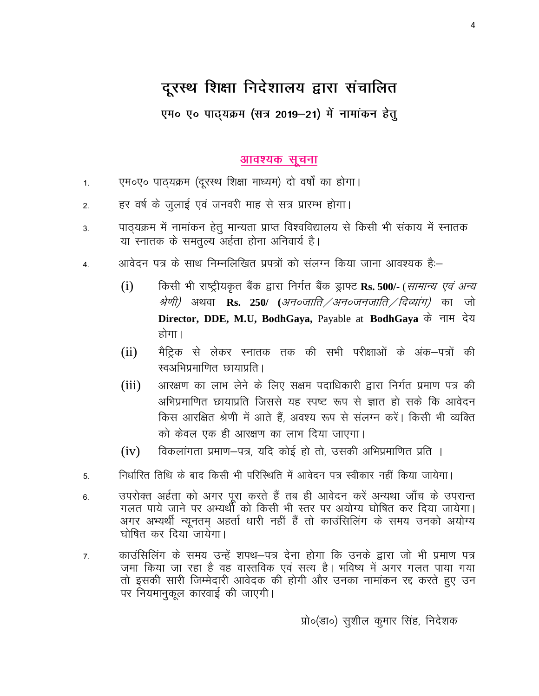# दूरस्थ शिक्षा निदेशालय द्वारा संचालित

एम० ए० पाठ्यक्रम (सत्र 2019–21) में नामांकन हेतु

#### <u>आवश्यक सूचना</u>

- 1. पुम०ए० पाठ्यक्रम (दूरस्थ शिक्षा माध्यम) दो वर्षों का होगा।
- 2. व्हिं वर्ष के जुलाई एवं जनवरी माह से सत्र प्रारम्भ होगा।
- 3. पाठ्यक्रम में नामांकन हेतु मान्यता प्राप्त विश्वविद्यालय से किसी भी संकाय में स्नातक या स्नातक के समतुल्य अर्हता होना अनिवार्य है।
- 4. आवेदन पत्र के साथ निम्नलिखित प्रपत्रों को संलग्न किया जाना आवश्यक है:–
	- (i) for online the viction of the control of the rest function of the Tayla, in the Mayd City of the U; (etc.) ( श्रेणी) अथवा **Rs. 250**/ (*अन०जाति / अन०जनजाति / दिव्यांग*) का जो **Director, DDE, M.U, BodhGaya, Payable at BodhGaya** के नाम देय होगा।
	- (ii) मैट्रिक से लेकर रनातक तक की सभी परीक्षाओं के अंक–पत्रों की रवअभिप्रमाणित छायाप्रति ।
	- (iii) valikation of the ship whili dina velocity in the song whili in the childhin was dhill in the contest. I अभिप्रमाणित छायाप्रति जिससे यह स्पष्ट रूप से ज्ञात हो सके कि आवेदन किस आरक्षित श्रेणी में आते हैं. अवश्य रूप से संलग्न करें। किसी भी व्यक्ति को केवल एक ही आरक्षण का लाभ दिया जाएगा।
	- $(iv)$  aldeformation dependence rate in disclosing  $(iv)$  is dependent and the constraint  $(iv)$
- 5- fu/kkZfjr frfFk ds ckn fdlh Hkh ifjfLFkfr es a vkosnu i= Lohdkj ugha fd;k tk;sxkA
- 6. जपरोक्त अर्हता को अगर पूरा करते हैं तब ही आवेदन करें अन्यथा जाँच के उपरान्त गलत पाये जाने पर अभ्यर्थी को किसी भी स्तर पर अयोग्य घोषित कर दिया जायेगा। अगर अभ्यर्थी न्यूनतम् अहर्ता धारी नहीं हैं तो काउंसिलिंग के समय उनको अयोग्य घोषित कर दिया जायेगा।
- 7. काउंसिलिंग के समय उन्हें शपथ–पत्र देना होगा कि उनके द्वारा जो भी प्रमाण पत्र जमा किया जा रहा है वह वास्तविक एवं सत्य है। भविष्य में अगर गलत पाया गया तो इसकी सारी जिम्मेदारी आवेदक की होगी और उनका नामांकन रद्द करते हुए उन पर नियमानुकूल कारवाई की जाएगी।

प्रो०(डा०) सुशील कुमार सिंह, निदेशक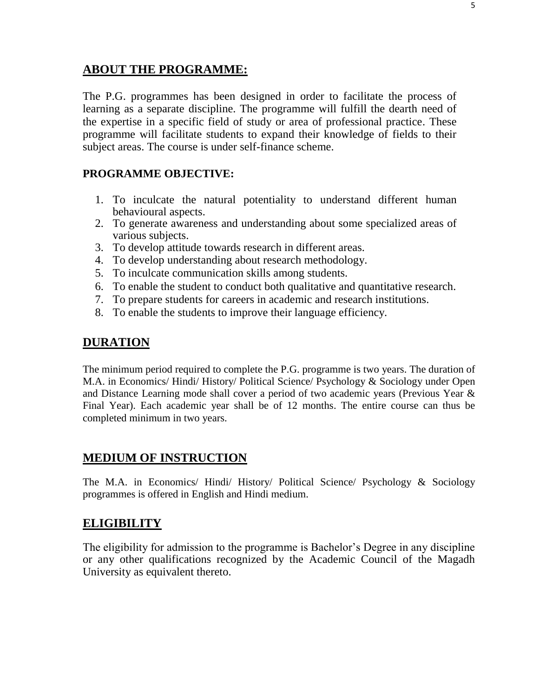## **ABOUT THE PROGRAMME:**

The P.G. programmes has been designed in order to facilitate the process of learning as a separate discipline. The programme will fulfill the dearth need of the expertise in a specific field of study or area of professional practice. These programme will facilitate students to expand their knowledge of fields to their subject areas. The course is under self-finance scheme.

## **PROGRAMME OBJECTIVE:**

- 1. To inculcate the natural potentiality to understand different human behavioural aspects.
- 2. To generate awareness and understanding about some specialized areas of various subjects.
- 3. To develop attitude towards research in different areas.
- 4. To develop understanding about research methodology.
- 5. To inculcate communication skills among students.
- 6. To enable the student to conduct both qualitative and quantitative research.
- 7. To prepare students for careers in academic and research institutions.
- 8. To enable the students to improve their language efficiency.

## **DURATION**

The minimum period required to complete the P.G. programme is two years. The duration of M.A. in Economics/ Hindi/ History/ Political Science/ Psychology & Sociology under Open and Distance Learning mode shall cover a period of two academic years (Previous Year & Final Year). Each academic year shall be of 12 months. The entire course can thus be completed minimum in two years.

# **MEDIUM OF INSTRUCTION**

The M.A. in Economics/ Hindi/ History/ Political Science/ Psychology & Sociology programmes is offered in English and Hindi medium.

# **ELIGIBILITY**

The eligibility for admission to the programme is Bachelor's Degree in any discipline or any other qualifications recognized by the Academic Council of the Magadh University as equivalent thereto.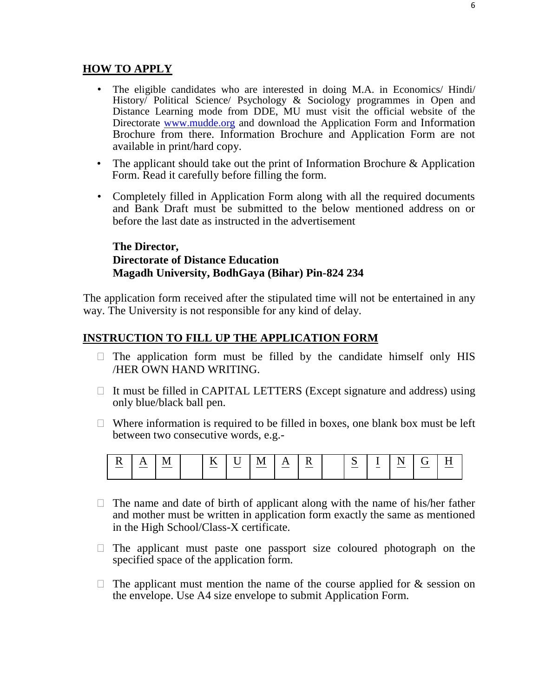#### **HOW TO APPLY**

- The eligible candidates who are interested in doing M.A. in Economics/ Hindi/ History/ Political Science/ Psychology & Sociology programmes in Open and Distance Learning mode from DDE, MU must visit the official website of the Directorate www.mudde.org and download the Application Form and Information Brochure from there. Information Brochure and Application Form are not available in print/hard copy.
- The applicant should take out the print of Information Brochure  $\&$  Application Form. Read it carefully before filling the form.
- Completely filled in Application Form along with all the required documents and Bank Draft must be submitted to the below mentioned address on or before the last date as instructed in the advertisement

#### **The Director, Directorate of Distance Education Magadh University, BodhGaya (Bihar) Pin-824 234**

The application form received after the stipulated time will not be entertained in any way. The University is not responsible for any kind of delay.

#### **INSTRUCTION TO FILL UP THE APPLICATION FORM**

- $\Box$  The application form must be filled by the candidate himself only HIS /HER OWN HAND WRITING.
- $\Box$  It must be filled in CAPITAL LETTERS (Except signature and address) using only blue/black ball pen.
- $\Box$  Where information is required to be filled in boxes, one blank box must be left between two consecutive words, e.g.-



- $\Box$  The name and date of birth of applicant along with the name of his/her father and mother must be written in application form exactly the same as mentioned in the High School/Class-X certificate.
- $\Box$  The applicant must paste one passport size coloured photograph on the specified space of the application form.
- $\Box$  The applicant must mention the name of the course applied for & session on the envelope. Use A4 size envelope to submit Application Form.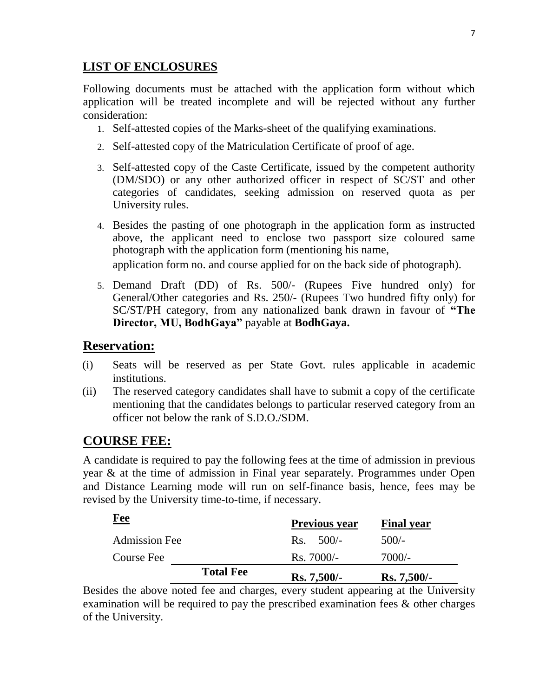# **LIST OF ENCLOSURES**

Following documents must be attached with the application form without which application will be treated incomplete and will be rejected without any further consideration:

- 1. Self-attested copies of the Marks-sheet of the qualifying examinations.
- 2. Self-attested copy of the Matriculation Certificate of proof of age.
- 3. Self-attested copy of the Caste Certificate, issued by the competent authority (DM/SDO) or any other authorized officer in respect of SC/ST and other categories of candidates, seeking admission on reserved quota as per University rules.
- 4. Besides the pasting of one photograph in the application form as instructed above, the applicant need to enclose two passport size coloured same photograph with the application form (mentioning his name,

application form no. and course applied for on the back side of photograph).

5. Demand Draft (DD) of Rs. 500/- (Rupees Five hundred only) for General/Other categories and Rs. 250/- (Rupees Two hundred fifty only) for SC/ST/PH category, from any nationalized bank drawn in favour of **"The Director, MU, BodhGaya"** payable at **BodhGaya.**

## **Reservation:**

- (i) Seats will be reserved as per State Govt. rules applicable in academic institutions.
- (ii) The reserved category candidates shall have to submit a copy of the certificate mentioning that the candidates belongs to particular reserved category from an officer not below the rank of S.D.O./SDM.

# **COURSE FEE:**

A candidate is required to pay the following fees at the time of admission in previous year & at the time of admission in Final year separately. Programmes under Open and Distance Learning mode will run on self-finance basis, hence, fees may be revised by the University time-to-time, if necessary.

| Course Fee           | <b>Total Fee</b> | $Rs.7000/-$<br>$Rs. 7,500/-$ | 7000/-<br>$Rs. 7,500/-$ |
|----------------------|------------------|------------------------------|-------------------------|
| <b>Admission Fee</b> |                  | $Rs. 500/-$                  | $500/-$                 |
| <u>Fee</u>           |                  | <b>Previous year</b>         | <b>Final year</b>       |

Besides the above noted fee and charges, every student appearing at the University examination will be required to pay the prescribed examination fees & other charges of the University.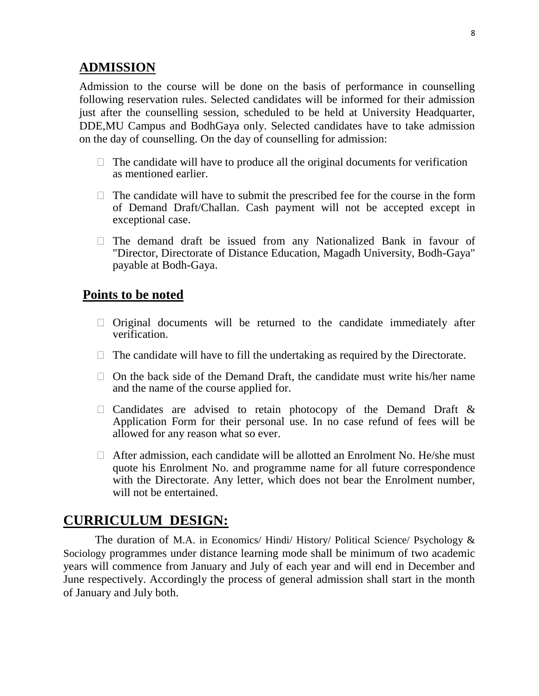## **ADMISSION**

Admission to the course will be done on the basis of performance in counselling following reservation rules. Selected candidates will be informed for their admission just after the counselling session, scheduled to be held at University Headquarter, DDE,MU Campus and BodhGaya only. Selected candidates have to take admission on the day of counselling. On the day of counselling for admission:

- $\Box$  The candidate will have to produce all the original documents for verification as mentioned earlier.
- $\Box$  The candidate will have to submit the prescribed fee for the course in the form of Demand Draft/Challan. Cash payment will not be accepted except in exceptional case.
- $\Box$  The demand draft be issued from any Nationalized Bank in favour of "Director, Directorate of Distance Education, Magadh University, Bodh-Gaya" payable at Bodh-Gaya.

### **Points to be noted**

- $\Box$  Original documents will be returned to the candidate immediately after verification.
- $\Box$  The candidate will have to fill the undertaking as required by the Directorate.
- $\Box$  On the back side of the Demand Draft, the candidate must write his/her name and the name of the course applied for.
- $\Box$  Candidates are advised to retain photocopy of the Demand Draft & Application Form for their personal use. In no case refund of fees will be allowed for any reason what so ever.
- $\Box$  After admission, each candidate will be allotted an Enrolment No. He/she must quote his Enrolment No. and programme name for all future correspondence with the Directorate. Any letter, which does not bear the Enrolment number, will not be entertained.

# **CURRICULUM DESIGN:**

The duration of M.A. in Economics/ Hindi/ History/ Political Science/ Psychology & Sociology programmes under distance learning mode shall be minimum of two academic years will commence from January and July of each year and will end in December and June respectively. Accordingly the process of general admission shall start in the month of January and July both.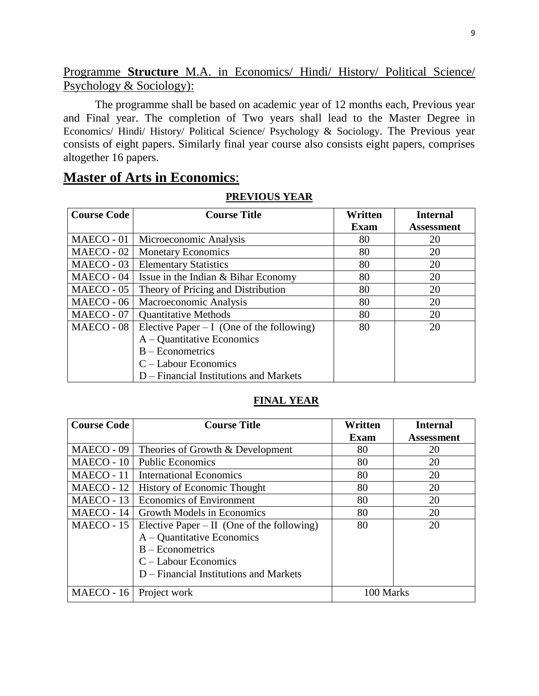## Programme **Structure** M.A. in Economics/ Hindi/ History/ Political Science/ Psychology & Sociology):

The programme shall be based on academic year of 12 months each, Previous year and Final year. The completion of Two years shall lead to the Master Degree in Economics/ Hindi/ History/ Political Science/ Psychology & Sociology. The Previous year consists of eight papers. Similarly final year course also consists eight papers, comprises altogether 16 papers.

## **Master of Arts in Economics**:

#### **PREVIOUS YEAR**

| <b>Course Code</b> | <b>Course Title</b>                         | Written | <b>Internal</b>   |
|--------------------|---------------------------------------------|---------|-------------------|
|                    |                                             | Exam    | <b>Assessment</b> |
| MAECO - 01         | Microeconomic Analysis                      | 80      | 20                |
| MAECO - 02         | <b>Monetary Economics</b>                   | 80      | 20                |
| MAECO - 03         | <b>Elementary Statistics</b>                | 80      | 20                |
| MAECO - 04         | Issue in the Indian & Bihar Economy         | 80      | 20                |
| MAECO - 05         | Theory of Pricing and Distribution          | 80      | 20                |
| MAECO - 06         | Macroeconomic Analysis                      | 80      | 20                |
| MAECO - 07         | <b>Quantitative Methods</b>                 | 80      | 20                |
| MAECO - 08         | Elective Paper $- I$ (One of the following) | 80      | 20                |
|                    | $A -$ Quantitative Economics                |         |                   |
|                    | $B - E$ conometrics                         |         |                   |
|                    | $C -$ Labour Economics                      |         |                   |
|                    | D – Financial Institutions and Markets      |         |                   |

#### **FINAL YEAR**

| <b>Course Code</b> | <b>Course Title</b>                        | Written   | <b>Internal</b>   |
|--------------------|--------------------------------------------|-----------|-------------------|
|                    |                                            | Exam      | <b>Assessment</b> |
| MAECO - 09         | Theories of Growth & Development           | 80        | 20                |
| MAECO - 10         | <b>Public Economics</b>                    | 80        | 20                |
| MAECO - 11         | <b>International Economics</b>             | 80        | 20                |
| MAECO - 12         | <b>History of Economic Thought</b>         | 80        | 20                |
| MAECO - 13         | <b>Economics of Environment</b>            | 80        | 20                |
| MAECO - 14         | <b>Growth Models in Economics</b>          | 80        | 20                |
| MAECO - 15         | Elective Paper – II (One of the following) | 80        | 20                |
|                    | $A -$ Quantitative Economics               |           |                   |
|                    | $B - E$ conometrics                        |           |                   |
|                    | $C -$ Labour Economics                     |           |                   |
|                    | $D$ – Financial Institutions and Markets   |           |                   |
| MAECO - 16         | Project work                               | 100 Marks |                   |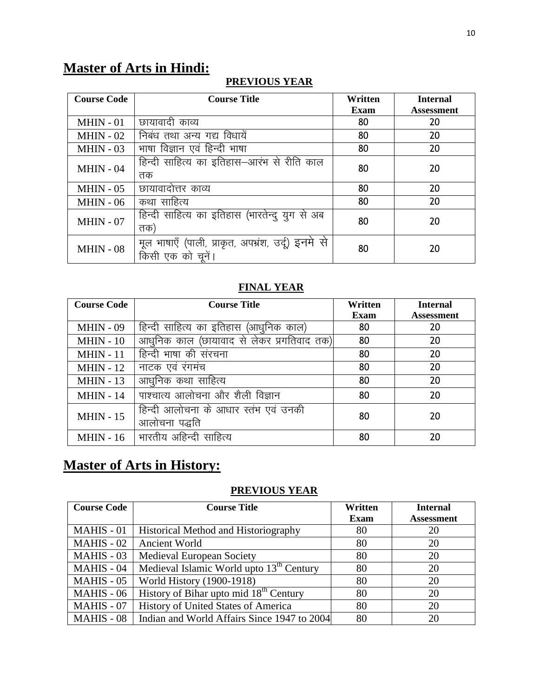# **Master of Arts in Hindi:**

## **PREVIOUS YEAR**

| <b>Course Code</b> | <b>Course Title</b>                                | Written     | <b>Internal</b>   |
|--------------------|----------------------------------------------------|-------------|-------------------|
|                    |                                                    | <b>Exam</b> | <b>Assessment</b> |
| $MHIN - 01$        | छायावादी काव्य                                     | 80          | 20                |
| $MHIN - 02$        | निबंध तथा अन्य गद्य विधायें                        | 80          | 20                |
| $MHIN - 03$        | भाषा विज्ञान एवं हिन्दी भाषा                       | 80          | 20                |
| $MHIN - 04$        | हिन्दी साहित्य का इतिहास–आरंभ से रीति काल          | 80          | 20                |
|                    | तक                                                 |             |                   |
| $MHIN - 05$        | छायावादोत्तर काव्य                                 | 80          | 20                |
| $MHIN - 06$        | कथा साहित्य                                        | 80          | 20                |
| $MHIN - 07$        | हिन्दी साहित्य का इतिहास (भारतेन्दु युग से अब      | 80          | 20                |
|                    | तक)                                                |             |                   |
| $MHIN - 08$        | मूल भाषाएँ (पाली, प्राकृत, अपभ्रंश, उर्दू) इनमे से |             |                   |
|                    | किसी एक को चुनें।                                  | 80          | 20                |

## **FINAL YEAR**

| <b>Course Code</b> | <b>Course Title</b>                                   | Written | <b>Internal</b>   |
|--------------------|-------------------------------------------------------|---------|-------------------|
|                    |                                                       | Exam    | <b>Assessment</b> |
| $MHIN - 09$        | हिन्दी साहित्य का इतिहास<br>(आधुनिक काल)              | 80      | 20                |
| $MHIN - 10$        | आधुनिक काल (छायावाद से लेकर प्रगतिवाद तक)             | 80      | 20                |
| <b>MHIN - 11</b>   | हिन्दी भाषा की संरचना                                 | 80      | 20                |
| <b>MHIN - 12</b>   | नाटक एवं रंगमंच                                       | 80      | 20                |
| $MHIN - 13$        | आधुनिक कथा साहित्य                                    | 80      | 20                |
| $MHIN - 14$        | पाश्चात्य आलोचना और शैली विज्ञान                      | 80      | 20                |
| $MHIN - 15$        | हिन्दी आलोचना के आधार स्तंभ एवं उनकी<br>आलोचना पद्धति | 80      | 20                |
| $MHIN - 16$        | भारतीय अहिन्दी साहित्य                                | 80      | 20                |

# **Master of Arts in History:**

## **PREVIOUS YEAR**

| <b>Course Code</b> | <b>Course Title</b>                                  | Written     | <b>Internal</b>   |
|--------------------|------------------------------------------------------|-------------|-------------------|
|                    |                                                      | <b>Exam</b> | <b>Assessment</b> |
| <b>MAHIS - 01</b>  | Historical Method and Historiography                 | 80          | 20                |
| $MAHIS - 02$       | <b>Ancient World</b>                                 | 80          | 20                |
| $MAHIS - 03$       | <b>Medieval European Society</b>                     | 80          | 20                |
| MAHIS - 04         | Medieval Islamic World upto 13 <sup>th</sup> Century | 80          | 20                |
| $MAHIS - 05$       | World History (1900-1918)                            | 80          | 20                |
| MAHIS - 06         | History of Bihar upto mid 18 <sup>th</sup> Century   | 80          | 20                |
| MAHIS - 07         | History of United States of America                  | 80          | 20                |
| <b>MAHIS - 08</b>  | Indian and World Affairs Since 1947 to 2004          | 80          | 20                |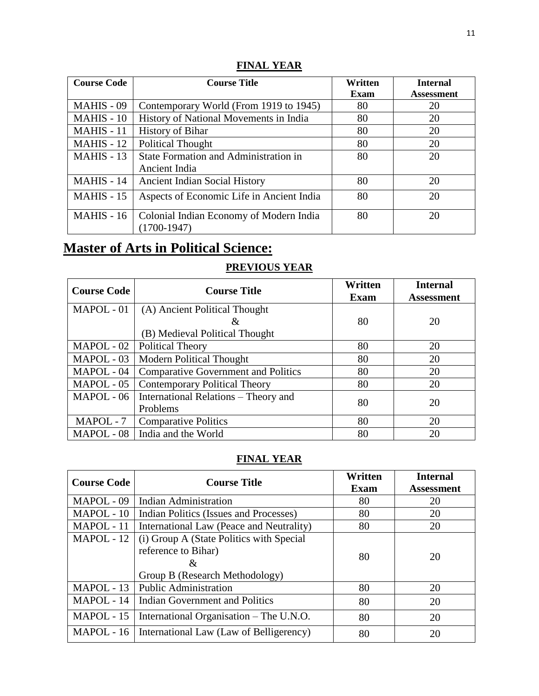#### **FINAL YEAR**

| <b>Course Code</b> | <b>Course Title</b>                                      | Written | <b>Internal</b>   |
|--------------------|----------------------------------------------------------|---------|-------------------|
|                    |                                                          | Exam    | <b>Assessment</b> |
| MAHIS - 09         | Contemporary World (From 1919 to 1945)                   | 80      | 20                |
| MAHIS - 10         | History of National Movements in India                   | 80      | 20                |
| MAHIS - 11         | <b>History of Bihar</b>                                  | 80      | 20                |
| $MAHIS - 12$       | <b>Political Thought</b>                                 | 80      | 20                |
| $MAHIS - 13$       | State Formation and Administration in                    | 80      | 20                |
|                    | Ancient India                                            |         |                   |
| MAHIS - 14         | <b>Ancient Indian Social History</b>                     | 80      | 20                |
| <b>MAHIS - 15</b>  | Aspects of Economic Life in Ancient India                | 80      | 20                |
| MAHIS - 16         | Colonial Indian Economy of Modern India<br>$(1700-1947)$ | 80      | 20                |

# **Master of Arts in Political Science:**

#### **PREVIOUS YEAR**

| <b>Course Code</b> | <b>Course Title</b>                        | Written<br>Exam | <b>Internal</b><br><b>Assessment</b> |
|--------------------|--------------------------------------------|-----------------|--------------------------------------|
| MAPOL - 01         | (A) Ancient Political Thought              |                 |                                      |
|                    | &                                          | 80              | 20                                   |
|                    | (B) Medieval Political Thought             |                 |                                      |
| MAPOL - 02         | <b>Political Theory</b>                    | 80              | 20                                   |
| MAPOL - 03         | <b>Modern Political Thought</b>            | 80              | 20                                   |
| MAPOL - 04         | <b>Comparative Government and Politics</b> | 80              | 20                                   |
| MAPOL - 05         | <b>Contemporary Political Theory</b>       | 80              | 20                                   |
| MAPOL - 06         | International Relations – Theory and       | 80              | 20                                   |
|                    | Problems                                   |                 |                                      |
| MAPOL - 7          | <b>Comparative Politics</b>                | 80              | 20                                   |
| MAPOL - 08         | India and the World                        | 80              | 20                                   |

#### **FINAL YEAR**

| <b>Course Code</b> | <b>Course Title</b>                                                                                    | Written<br>Exam | <b>Internal</b><br><b>Assessment</b> |
|--------------------|--------------------------------------------------------------------------------------------------------|-----------------|--------------------------------------|
| MAPOL - 09         | <b>Indian Administration</b>                                                                           | 80              | 20                                   |
| MAPOL - 10         | Indian Politics (Issues and Processes)                                                                 | 80              | 20                                   |
| MAPOL - 11         | International Law (Peace and Neutrality)                                                               | 80              | 20                                   |
| MAPOL - 12         | (i) Group A (State Politics with Special<br>reference to Bihar)<br>&<br>Group B (Research Methodology) | 80              | 20                                   |
| MAPOL - 13         | <b>Public Administration</b>                                                                           | 80              | 20                                   |
|                    | MAPOL - 14   Indian Government and Politics                                                            | 80              | 20                                   |
| MAPOL - 15         | International Organisation – The U.N.O.                                                                | 80              | 20                                   |
| MAPOL - 16         | International Law (Law of Belligerency)                                                                | 80              | 20                                   |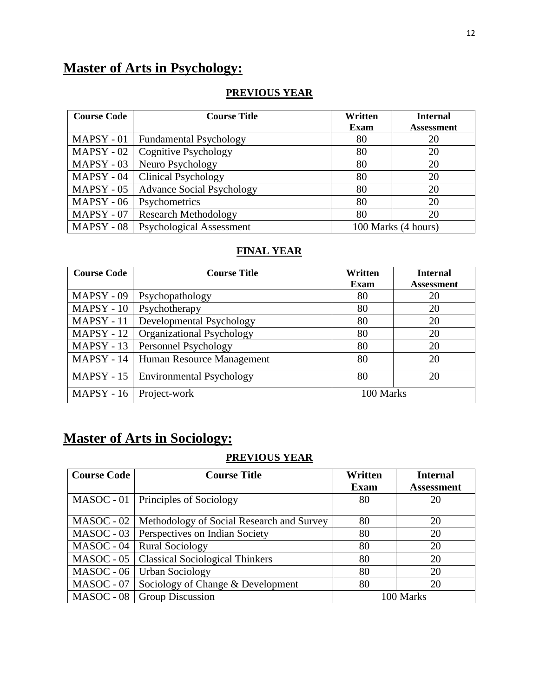# **Master of Arts in Psychology:**

### **PREVIOUS YEAR**

| <b>Course Code</b> | <b>Course Title</b>              | Written     | <b>Internal</b>     |
|--------------------|----------------------------------|-------------|---------------------|
|                    |                                  | <b>Exam</b> | <b>Assessment</b>   |
| $MAPSY - 01$       | <b>Fundamental Psychology</b>    | 80          | 20                  |
| $MAPSY - 02$       | <b>Cognitive Psychology</b>      | 80          | 20                  |
| $MAPSY - 03$       | Neuro Psychology                 | 80          | 20                  |
| $MAPSY - 04$       | <b>Clinical Psychology</b>       | 80          | 20                  |
| $MAPSY - 05$       | <b>Advance Social Psychology</b> | 80          | 20                  |
| MAPSY - 06         | Psychometrics                    | 80          | 20                  |
| $MAPSY - 07$       | <b>Research Methodology</b>      | 80          | 20                  |
| $MAPSY - 08$       | <b>Psychological Assessment</b>  |             | 100 Marks (4 hours) |

#### **FINAL YEAR**

| <b>Course Code</b> | <b>Course Title</b>                    | Written     | <b>Internal</b>   |
|--------------------|----------------------------------------|-------------|-------------------|
|                    |                                        | <b>Exam</b> | <b>Assessment</b> |
| MAPSY - 09         | Psychopathology                        | 80          | 20                |
| $MAPSY - 10$       | Psychotherapy                          | 80          | 20                |
| MAPSY-11           | Developmental Psychology               | 80          | 20                |
| $MAPSY - 12$       | <b>Organizational Psychology</b>       | 80          | 20                |
| $MAPSY - 13$       | Personnel Psychology                   | 80          | 20                |
|                    | MAPSY - 14   Human Resource Management | 80          | 20                |
| $MAPSY - 15$       | <b>Environmental Psychology</b>        | 80          | 20                |
| <b>MAPSY - 16</b>  | Project-work                           | 100 Marks   |                   |

# **Master of Arts in Sociology:**

## **PREVIOUS YEAR**

| <b>Course Code</b> | <b>Course Title</b>                       | Written     | <b>Internal</b>   |
|--------------------|-------------------------------------------|-------------|-------------------|
|                    |                                           | <b>Exam</b> | <b>Assessment</b> |
|                    | MASOC - 01   Principles of Sociology      | 80          | 20                |
| $MASOC - 02$       | Methodology of Social Research and Survey | 80          | 20                |
| $MASOC - 03$       | Perspectives on Indian Society            | 80          | 20                |
| MASOC - 04         | <b>Rural Sociology</b>                    | 80          | 20                |
| MASOC - 05         | <b>Classical Sociological Thinkers</b>    | 80          | 20                |
| MASOC - 06         | <b>Urban Sociology</b>                    | 80          | 20                |
| MASOC - 07         | Sociology of Change & Development         | 80          | 20                |
| $MASOC - 08$       | <b>Group Discussion</b>                   |             | 100 Marks         |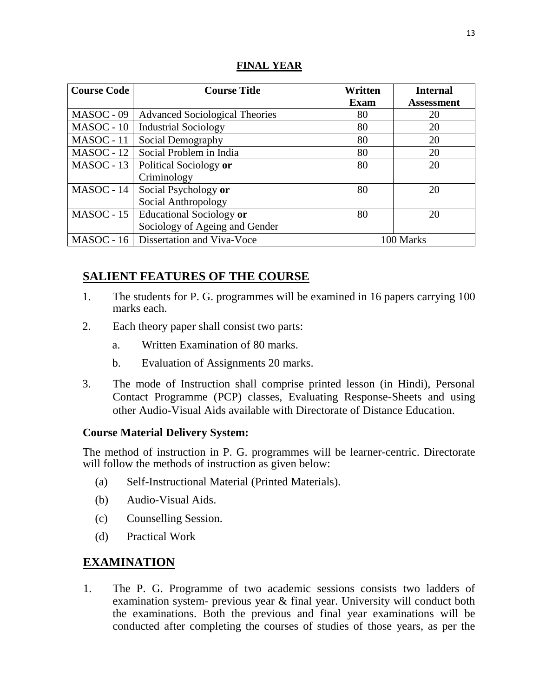| <b>Course Code</b> | <b>Course Title</b>                     | Written     | <b>Internal</b>   |
|--------------------|-----------------------------------------|-------------|-------------------|
|                    |                                         | <b>Exam</b> | <b>Assessment</b> |
| MASOC - 09         | <b>Advanced Sociological Theories</b>   | 80          | 20                |
| $MASOC - 10$       | <b>Industrial Sociology</b>             | 80          | 20                |
| MASOC - 11         | Social Demography                       | 80          | 20                |
| $MASOC - 12$       | Social Problem in India                 | 80          | 20                |
| $MASOC - 13$       | Political Sociology or                  | 80          | 20                |
|                    | Criminology                             |             |                   |
| $MASOC - 14$       | Social Psychology or                    | 80          | 20                |
|                    | Social Anthropology                     |             |                   |
| $MASOC - 15$       | Educational Sociology or                | 80          | 20                |
|                    | Sociology of Ageing and Gender          |             |                   |
|                    | MASOC - 16   Dissertation and Viva-Voce | 100 Marks   |                   |

#### **FINAL YEAR**

# **SALIENT FEATURES OF THE COURSE**

- 1. The students for P. G. programmes will be examined in 16 papers carrying 100 marks each.
- 2. Each theory paper shall consist two parts:
	- a. Written Examination of 80 marks.
	- b. Evaluation of Assignments 20 marks.
- 3. The mode of Instruction shall comprise printed lesson (in Hindi), Personal Contact Programme (PCP) classes, Evaluating Response-Sheets and using other Audio-Visual Aids available with Directorate of Distance Education.

### **Course Material Delivery System:**

The method of instruction in P. G. programmes will be learner-centric. Directorate will follow the methods of instruction as given below:

- (a) Self-Instructional Material (Printed Materials).
- (b) Audio-Visual Aids.
- (c) Counselling Session.
- (d) Practical Work

## **EXAMINATION**

1. The P. G. Programme of two academic sessions consists two ladders of examination system- previous year & final year. University will conduct both the examinations. Both the previous and final year examinations will be conducted after completing the courses of studies of those years, as per the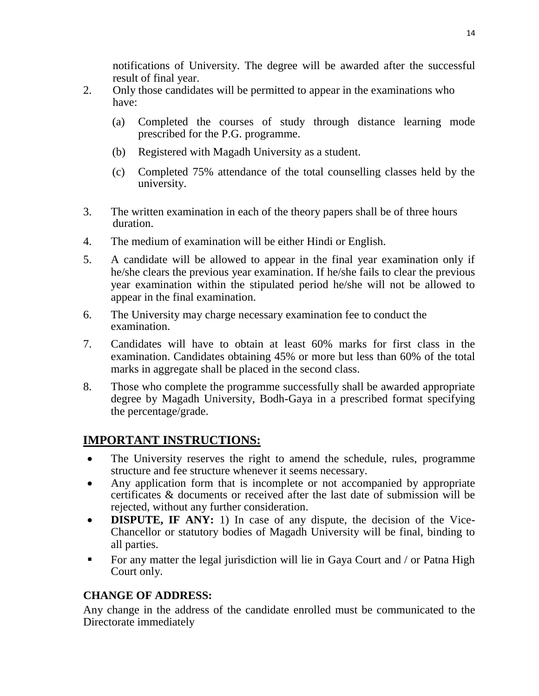notifications of University. The degree will be awarded after the successful result of final year.

- 2. Only those candidates will be permitted to appear in the examinations who have:
	- (a) Completed the courses of study through distance learning mode prescribed for the P.G. programme.
	- (b) Registered with Magadh University as a student.
	- (c) Completed 75% attendance of the total counselling classes held by the university.
- 3. The written examination in each of the theory papers shall be of three hours duration.
- 4. The medium of examination will be either Hindi or English.
- 5. A candidate will be allowed to appear in the final year examination only if he/she clears the previous year examination. If he/she fails to clear the previous year examination within the stipulated period he/she will not be allowed to appear in the final examination.
- 6. The University may charge necessary examination fee to conduct the examination.
- 7. Candidates will have to obtain at least 60% marks for first class in the examination. Candidates obtaining 45% or more but less than 60% of the total marks in aggregate shall be placed in the second class.
- 8. Those who complete the programme successfully shall be awarded appropriate degree by Magadh University, Bodh-Gaya in a prescribed format specifying the percentage/grade.

# **IMPORTANT INSTRUCTIONS:**

- The University reserves the right to amend the schedule, rules, programme structure and fee structure whenever it seems necessary.
- Any application form that is incomplete or not accompanied by appropriate certificates & documents or received after the last date of submission will be rejected, without any further consideration.
- **DISPUTE, IF ANY:** 1) In case of any dispute, the decision of the Vice-Chancellor or statutory bodies of Magadh University will be final, binding to all parties.
- For any matter the legal jurisdiction will lie in Gaya Court and / or Patna High Court only.

## **CHANGE OF ADDRESS:**

Any change in the address of the candidate enrolled must be communicated to the Directorate immediately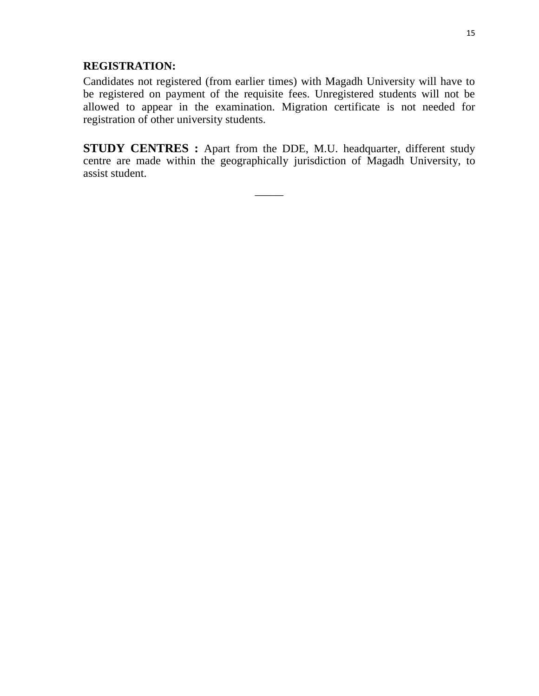### **REGISTRATION:**

Candidates not registered (from earlier times) with Magadh University will have to be registered on payment of the requisite fees. Unregistered students will not be allowed to appear in the examination. Migration certificate is not needed for registration of other university students.

**STUDY CENTRES :** Apart from the DDE, M.U. headquarter, different study centre are made within the geographically jurisdiction of Magadh University, to assist student.

\_\_\_\_\_